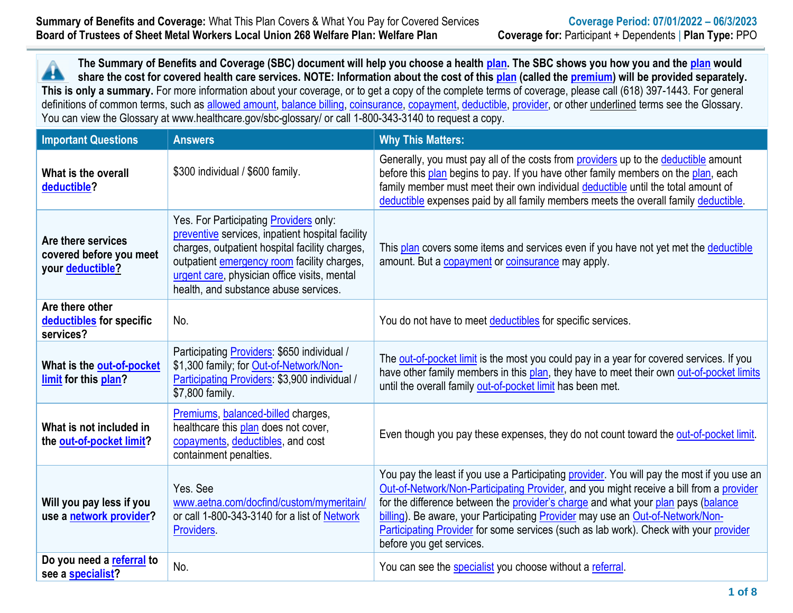**The Summary of Benefits and Coverage (SBC) document will help you choose a health [plan.](https://www.healthcare.gov/sbc-glossary/#plan) The SBC shows you how you and the [plan](https://www.healthcare.gov/sbc-glossary/#plan) would** 44 **share the cost for covered health care services. NOTE: Information about the cost of thi[s plan](https://www.healthcare.gov/sbc-glossary/#plan) (called the [premium\)](https://www.healthcare.gov/sbc-glossary/#premium) will be provided separately. This is only a summary.** For more information about your coverage, or to get a copy of the complete terms of coverage, please call (618) 397-1443. For general definitions of common terms, such as [allowed amount,](https://www.healthcare.gov/sbc-glossary/#allowed-amount) [balance billing,](https://www.healthcare.gov/sbc-glossary/#balance-billing) [coinsurance,](https://www.healthcare.gov/sbc-glossary/#coinsurance) [copayment,](https://www.healthcare.gov/sbc-glossary/#copayment) [deductible,](https://www.healthcare.gov/sbc-glossary/#deductible) [provider,](https://www.healthcare.gov/sbc-glossary/#provider) or other underlined terms see the Glossary. You can view the Glossary at www.healthcare.gov/sbc-glossary/ or call 1-800-343-3140 to request a copy.

| <b>Important Questions</b>                                        | <b>Answers</b>                                                                                                                                                                                                                                                                              | <b>Why This Matters:</b>                                                                                                                                                                                                                                                                                                                                                                                                                                                          |
|-------------------------------------------------------------------|---------------------------------------------------------------------------------------------------------------------------------------------------------------------------------------------------------------------------------------------------------------------------------------------|-----------------------------------------------------------------------------------------------------------------------------------------------------------------------------------------------------------------------------------------------------------------------------------------------------------------------------------------------------------------------------------------------------------------------------------------------------------------------------------|
| What is the overall<br>deductible?                                | \$300 individual / \$600 family.                                                                                                                                                                                                                                                            | Generally, you must pay all of the costs from providers up to the deductible amount<br>before this plan begins to pay. If you have other family members on the plan, each<br>family member must meet their own individual deductible until the total amount of<br>deductible expenses paid by all family members meets the overall family deductible.                                                                                                                             |
| Are there services<br>covered before you meet<br>your deductible? | Yes. For Participating <b>Providers</b> only:<br>preventive services, inpatient hospital facility<br>charges, outpatient hospital facility charges,<br>outpatient emergency room facility charges,<br>urgent care, physician office visits, mental<br>health, and substance abuse services. | This plan covers some items and services even if you have not yet met the deductible<br>amount. But a copayment or coinsurance may apply.                                                                                                                                                                                                                                                                                                                                         |
| Are there other<br>deductibles for specific<br>services?          | No.                                                                                                                                                                                                                                                                                         | You do not have to meet deductibles for specific services.                                                                                                                                                                                                                                                                                                                                                                                                                        |
| What is the out-of-pocket<br>limit for this plan?                 | Participating Providers: \$650 individual /<br>\$1,300 family; for Out-of-Network/Non-<br>Participating Providers: \$3,900 individual /<br>\$7,800 family.                                                                                                                                  | The out-of-pocket limit is the most you could pay in a year for covered services. If you<br>have other family members in this plan, they have to meet their own out-of-pocket limits<br>until the overall family out-of-pocket limit has been met.                                                                                                                                                                                                                                |
| What is not included in<br>the out-of-pocket limit?               | Premiums, balanced-billed charges,<br>healthcare this plan does not cover,<br>copayments, deductibles, and cost<br>containment penalties.                                                                                                                                                   | Even though you pay these expenses, they do not count toward the out-of-pocket limit.                                                                                                                                                                                                                                                                                                                                                                                             |
| Will you pay less if you<br>use a network provider?               | Yes, See<br>www.aetna.com/docfind/custom/mymeritain/<br>or call 1-800-343-3140 for a list of Network<br>Providers.                                                                                                                                                                          | You pay the least if you use a Participating provider. You will pay the most if you use an<br>Out-of-Network/Non-Participating Provider, and you might receive a bill from a provider<br>for the difference between the provider's charge and what your plan pays (balance<br>billing). Be aware, your Participating Provider may use an Out-of-Network/Non-<br>Participating Provider for some services (such as lab work). Check with your provider<br>before you get services. |
| Do you need a referral to<br>see a specialist?                    | No.                                                                                                                                                                                                                                                                                         | You can see the specialist you choose without a referral.                                                                                                                                                                                                                                                                                                                                                                                                                         |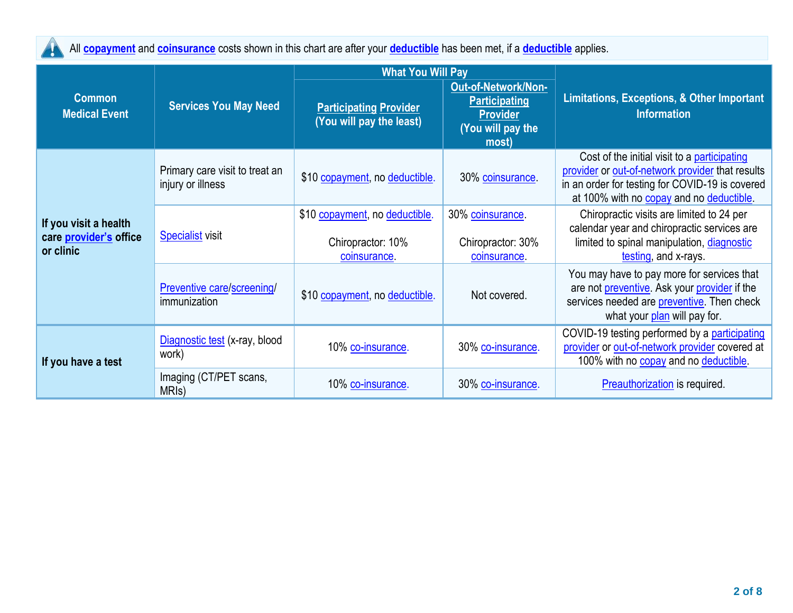All **[copayment](https://www.healthcare.gov/sbc-glossary/#copayment)** and **[coinsurance](https://www.healthcare.gov/sbc-glossary/#coinsurance)** costs shown in this chart are after your **[deductible](https://www.healthcare.gov/sbc-glossary/#deductible)** has been met, if a **[deductible](https://www.healthcare.gov/sbc-glossary/#deductible)** applies.

|                                                              |                                                     | <b>What You Will Pay</b>                                           |                                                                                              |                                                                                                                                                                                                 |
|--------------------------------------------------------------|-----------------------------------------------------|--------------------------------------------------------------------|----------------------------------------------------------------------------------------------|-------------------------------------------------------------------------------------------------------------------------------------------------------------------------------------------------|
| <b>Common</b><br><b>Medical Event</b>                        | <b>Services You May Need</b>                        | <b>Participating Provider</b><br>(You will pay the least)          | Out-of-Network/Non-<br><b>Participating</b><br><b>Provider</b><br>(You will pay the<br>most) | <b>Limitations, Exceptions, &amp; Other Important</b><br><b>Information</b>                                                                                                                     |
|                                                              | Primary care visit to treat an<br>injury or illness | \$10 copayment, no deductible.                                     | 30% coinsurance.                                                                             | Cost of the initial visit to a participating<br>provider or out-of-network provider that results<br>in an order for testing for COVID-19 is covered<br>at 100% with no copay and no deductible. |
| If you visit a health<br>care provider's office<br>or clinic | <b>Specialist</b> visit                             | \$10 copayment, no deductible.<br>Chiropractor: 10%<br>coinsurance | 30% coinsurance<br>Chiropractor: 30%<br>coinsurance                                          | Chiropractic visits are limited to 24 per<br>calendar year and chiropractic services are<br>limited to spinal manipulation, diagnostic<br>testing, and x-rays.                                  |
|                                                              | Preventive care/screening/<br>immunization          | \$10 copayment, no deductible.                                     | Not covered.                                                                                 | You may have to pay more for services that<br>are not preventive. Ask your provider if the<br>services needed are preventive. Then check<br>what your plan will pay for.                        |
| If you have a test                                           | Diagnostic test (x-ray, blood<br>work)              | 10% co-insurance.                                                  | 30% co-insurance.                                                                            | COVID-19 testing performed by a participating<br>provider or out-of-network provider covered at<br>100% with no copay and no deductible.                                                        |
|                                                              | Imaging (CT/PET scans,<br>MRI <sub>s</sub> )        | 10% co-insurance.                                                  | 30% co-insurance.                                                                            | <b>Preauthorization</b> is required.                                                                                                                                                            |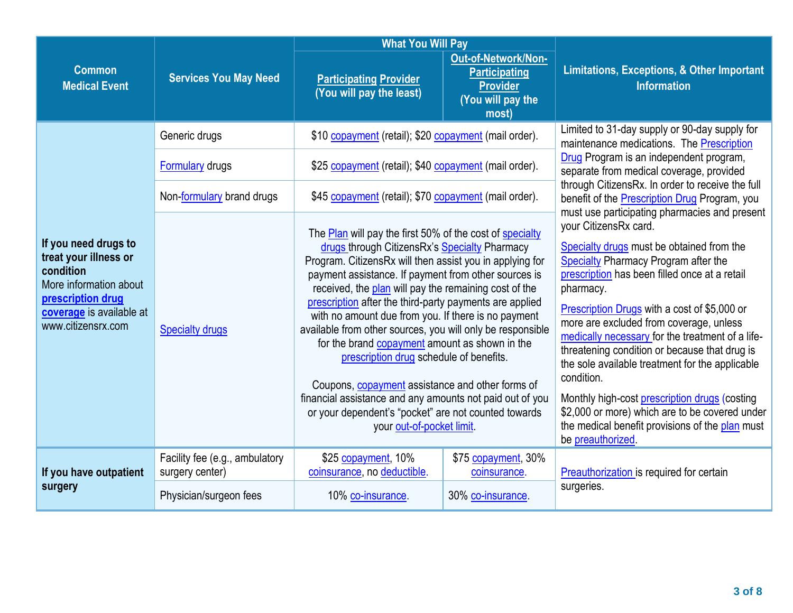|                                                                                                                                                             |                                                   | <b>What You Will Pay</b>                                                                                                                                                                                                                                                                                                                                                                                                                                                                                                                                                                                                                                                                                                                                                 |                                                                                                     |                                                                                                                                                                                                                                                                                                                                                                                                                                                                                                                                                                                                                                                         |  |
|-------------------------------------------------------------------------------------------------------------------------------------------------------------|---------------------------------------------------|--------------------------------------------------------------------------------------------------------------------------------------------------------------------------------------------------------------------------------------------------------------------------------------------------------------------------------------------------------------------------------------------------------------------------------------------------------------------------------------------------------------------------------------------------------------------------------------------------------------------------------------------------------------------------------------------------------------------------------------------------------------------------|-----------------------------------------------------------------------------------------------------|---------------------------------------------------------------------------------------------------------------------------------------------------------------------------------------------------------------------------------------------------------------------------------------------------------------------------------------------------------------------------------------------------------------------------------------------------------------------------------------------------------------------------------------------------------------------------------------------------------------------------------------------------------|--|
| <b>Common</b><br><b>Medical Event</b>                                                                                                                       | <b>Services You May Need</b>                      | <b>Participating Provider</b><br>(You will pay the least)                                                                                                                                                                                                                                                                                                                                                                                                                                                                                                                                                                                                                                                                                                                | <b>Out-of-Network/Non-</b><br><b>Participating</b><br><b>Provider</b><br>(You will pay the<br>most) | <b>Limitations, Exceptions, &amp; Other Important</b><br><b>Information</b>                                                                                                                                                                                                                                                                                                                                                                                                                                                                                                                                                                             |  |
|                                                                                                                                                             | Generic drugs                                     | \$10 copayment (retail); \$20 copayment (mail order).                                                                                                                                                                                                                                                                                                                                                                                                                                                                                                                                                                                                                                                                                                                    |                                                                                                     | Limited to 31-day supply or 90-day supply for<br>maintenance medications. The Prescription                                                                                                                                                                                                                                                                                                                                                                                                                                                                                                                                                              |  |
|                                                                                                                                                             | <b>Formulary</b> drugs                            | \$25 copayment (retail); \$40 copayment (mail order).                                                                                                                                                                                                                                                                                                                                                                                                                                                                                                                                                                                                                                                                                                                    |                                                                                                     | Drug Program is an independent program,<br>separate from medical coverage, provided                                                                                                                                                                                                                                                                                                                                                                                                                                                                                                                                                                     |  |
|                                                                                                                                                             | Non-formulary brand drugs                         | \$45 copayment (retail); \$70 copayment (mail order).                                                                                                                                                                                                                                                                                                                                                                                                                                                                                                                                                                                                                                                                                                                    |                                                                                                     | through CitizensRx. In order to receive the full<br>benefit of the <b>Prescription Drug</b> Program, you                                                                                                                                                                                                                                                                                                                                                                                                                                                                                                                                                |  |
| If you need drugs to<br>treat your illness or<br>condition<br>More information about<br>prescription drug<br>coverage is available at<br>www.citizensrx.com | <b>Specialty drugs</b>                            | The Plan will pay the first 50% of the cost of specialty<br>drugs through CitizensRx's Specialty Pharmacy<br>Program. CitizensRx will then assist you in applying for<br>payment assistance. If payment from other sources is<br>received, the plan will pay the remaining cost of the<br>prescription after the third-party payments are applied<br>with no amount due from you. If there is no payment<br>available from other sources, you will only be responsible<br>for the brand copayment amount as shown in the<br>prescription drug schedule of benefits.<br>Coupons, copayment assistance and other forms of<br>financial assistance and any amounts not paid out of you<br>or your dependent's "pocket" are not counted towards<br>your out-of-pocket limit. |                                                                                                     | must use participating pharmacies and present<br>your CitizensRx card.<br>Specialty drugs must be obtained from the<br><b>Specialty Pharmacy Program after the</b><br>prescription has been filled once at a retail<br>pharmacy.<br>Prescription Drugs with a cost of \$5,000 or<br>more are excluded from coverage, unless<br>medically necessary for the treatment of a life-<br>threatening condition or because that drug is<br>the sole available treatment for the applicable<br>condition.<br>Monthly high-cost prescription drugs (costing<br>\$2,000 or more) which are to be covered under<br>the medical benefit provisions of the plan must |  |
| If you have outpatient                                                                                                                                      | Facility fee (e.g., ambulatory<br>surgery center) | \$25 copayment, 10%<br>coinsurance, no deductible.                                                                                                                                                                                                                                                                                                                                                                                                                                                                                                                                                                                                                                                                                                                       | \$75 copayment, 30%<br>coinsurance.                                                                 | be preauthorized.<br>Preauthorization is required for certain                                                                                                                                                                                                                                                                                                                                                                                                                                                                                                                                                                                           |  |
| surgery                                                                                                                                                     | Physician/surgeon fees                            | 10% co-insurance.                                                                                                                                                                                                                                                                                                                                                                                                                                                                                                                                                                                                                                                                                                                                                        | 30% co-insurance.                                                                                   | surgeries.                                                                                                                                                                                                                                                                                                                                                                                                                                                                                                                                                                                                                                              |  |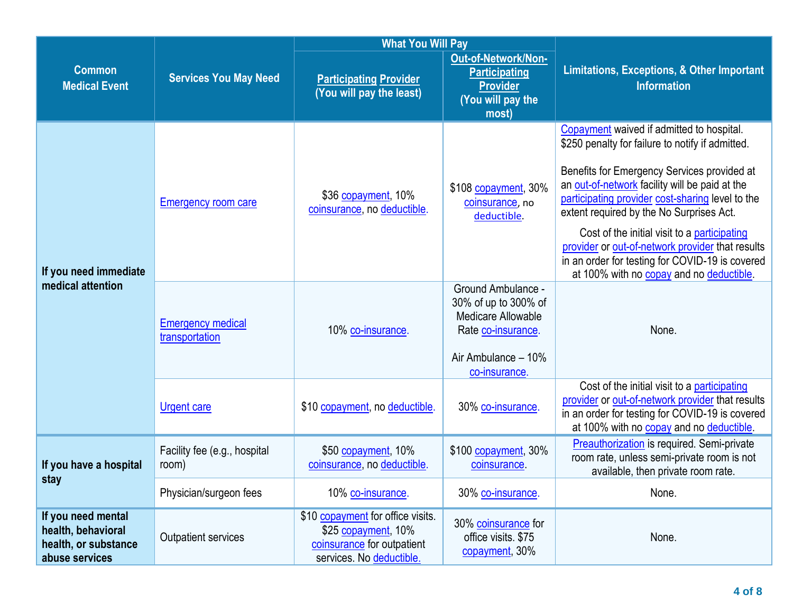|                                                                                    |                                            | <b>What You Will Pay</b>                                                                                           |                                                                                                                                       |                                                                                                                                                                                                                                                                                                                                                                                                                                                                                                   |
|------------------------------------------------------------------------------------|--------------------------------------------|--------------------------------------------------------------------------------------------------------------------|---------------------------------------------------------------------------------------------------------------------------------------|---------------------------------------------------------------------------------------------------------------------------------------------------------------------------------------------------------------------------------------------------------------------------------------------------------------------------------------------------------------------------------------------------------------------------------------------------------------------------------------------------|
| <b>Common</b><br><b>Medical Event</b>                                              | <b>Services You May Need</b>               | <b>Participating Provider</b><br>(You will pay the least)                                                          | Out-of-Network/Non-<br><b>Participating</b><br><b>Provider</b><br>(You will pay the<br>most)                                          | <b>Limitations, Exceptions, &amp; Other Important</b><br><b>Information</b>                                                                                                                                                                                                                                                                                                                                                                                                                       |
| If you need immediate                                                              | <b>Emergency room care</b>                 | \$36 copayment, 10%<br>coinsurance, no deductible.                                                                 | \$108 copayment, 30%<br>coinsurance, no<br>deductible.                                                                                | Copayment waived if admitted to hospital.<br>\$250 penalty for failure to notify if admitted.<br>Benefits for Emergency Services provided at<br>an out-of-network facility will be paid at the<br>participating provider cost-sharing level to the<br>extent required by the No Surprises Act.<br>Cost of the initial visit to a participating<br>provider or out-of-network provider that results<br>in an order for testing for COVID-19 is covered<br>at 100% with no copay and no deductible. |
| medical attention                                                                  | <b>Emergency medical</b><br>transportation | 10% co-insurance.                                                                                                  | <b>Ground Ambulance -</b><br>30% of up to 300% of<br>Medicare Allowable<br>Rate co-insurance.<br>Air Ambulance - 10%<br>co-insurance. | None.                                                                                                                                                                                                                                                                                                                                                                                                                                                                                             |
|                                                                                    | <b>Urgent care</b>                         | \$10 copayment, no deductible.                                                                                     | 30% co-insurance.                                                                                                                     | Cost of the initial visit to a participating<br>provider or out-of-network provider that results<br>in an order for testing for COVID-19 is covered<br>at 100% with no copay and no deductible.                                                                                                                                                                                                                                                                                                   |
| If you have a hospital                                                             | Facility fee (e.g., hospital<br>room)      | \$50 copayment, 10%<br>coinsurance, no deductible.                                                                 | \$100 copayment, 30%<br>coinsurance                                                                                                   | <b>Preauthorization</b> is required. Semi-private<br>room rate, unless semi-private room is not<br>available, then private room rate.                                                                                                                                                                                                                                                                                                                                                             |
| stay                                                                               | Physician/surgeon fees                     | 10% co-insurance.                                                                                                  | 30% co-insurance.                                                                                                                     | None.                                                                                                                                                                                                                                                                                                                                                                                                                                                                                             |
| If you need mental<br>health, behavioral<br>health, or substance<br>abuse services | Outpatient services                        | \$10 copayment for office visits.<br>\$25 copayment, 10%<br>coinsurance for outpatient<br>services. No deductible. | 30% coinsurance for<br>office visits. \$75<br>copayment, 30%                                                                          | None.                                                                                                                                                                                                                                                                                                                                                                                                                                                                                             |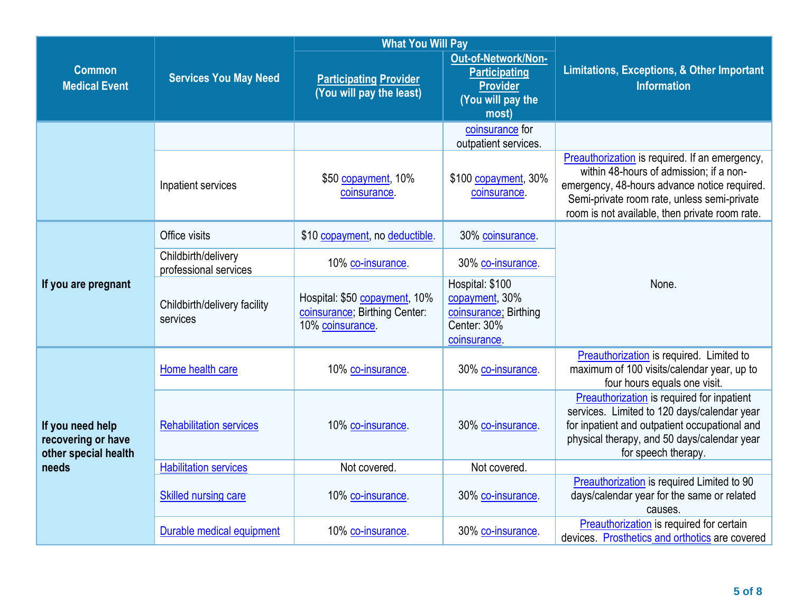|                                                                         |                                              | <b>What You Will Pay</b>                                                           |                                                                                              |                                                                                                                                                                                                                                            |
|-------------------------------------------------------------------------|----------------------------------------------|------------------------------------------------------------------------------------|----------------------------------------------------------------------------------------------|--------------------------------------------------------------------------------------------------------------------------------------------------------------------------------------------------------------------------------------------|
| <b>Common</b><br><b>Medical Event</b>                                   | <b>Services You May Need</b>                 | <b>Participating Provider</b><br>(You will pay the least)                          | Out-of-Network/Non-<br><b>Participating</b><br><b>Provider</b><br>(You will pay the<br>most) | <b>Limitations, Exceptions, &amp; Other Important</b><br><b>Information</b>                                                                                                                                                                |
|                                                                         |                                              |                                                                                    | coinsurance for<br>outpatient services.                                                      |                                                                                                                                                                                                                                            |
|                                                                         | Inpatient services                           | \$50 copayment, 10%<br>coinsurance.                                                | \$100 copayment, 30%<br>coinsurance.                                                         | Preauthorization is required. If an emergency,<br>within 48-hours of admission; if a non-<br>emergency, 48-hours advance notice required.<br>Semi-private room rate, unless semi-private<br>room is not available, then private room rate. |
|                                                                         | Office visits                                | \$10 copayment, no deductible.                                                     | 30% coinsurance.                                                                             |                                                                                                                                                                                                                                            |
| If you are pregnant                                                     | Childbirth/delivery<br>professional services | 10% co-insurance.                                                                  | 30% co-insurance.                                                                            |                                                                                                                                                                                                                                            |
|                                                                         | Childbirth/delivery facility<br>services     | Hospital: \$50 copayment, 10%<br>coinsurance; Birthing Center:<br>10% coinsurance. | Hospital: \$100<br>copayment, 30%<br>coinsurance; Birthing<br>Center: 30%<br>coinsurance.    | None.                                                                                                                                                                                                                                      |
|                                                                         | Home health care                             | 10% co-insurance.                                                                  | 30% co-insurance.                                                                            | Preauthorization is required. Limited to<br>maximum of 100 visits/calendar year, up to<br>four hours equals one visit.                                                                                                                     |
| If you need help<br>recovering or have<br>other special health<br>needs | <b>Rehabilitation services</b>               | 10% co-insurance.                                                                  | 30% co-insurance.                                                                            | Preauthorization is required for inpatient<br>services. Limited to 120 days/calendar year<br>for inpatient and outpatient occupational and<br>physical therapy, and 50 days/calendar year<br>for speech therapy.                           |
|                                                                         | <b>Habilitation services</b>                 | Not covered.                                                                       | Not covered.                                                                                 |                                                                                                                                                                                                                                            |
|                                                                         | <b>Skilled nursing care</b>                  | 10% co-insurance.                                                                  | 30% co-insurance.                                                                            | Preauthorization is required Limited to 90<br>days/calendar year for the same or related<br>causes.                                                                                                                                        |
|                                                                         | Durable medical equipment                    | 10% co-insurance.                                                                  | 30% co-insurance.                                                                            | Preauthorization is required for certain<br>devices. Prosthetics and orthotics are covered                                                                                                                                                 |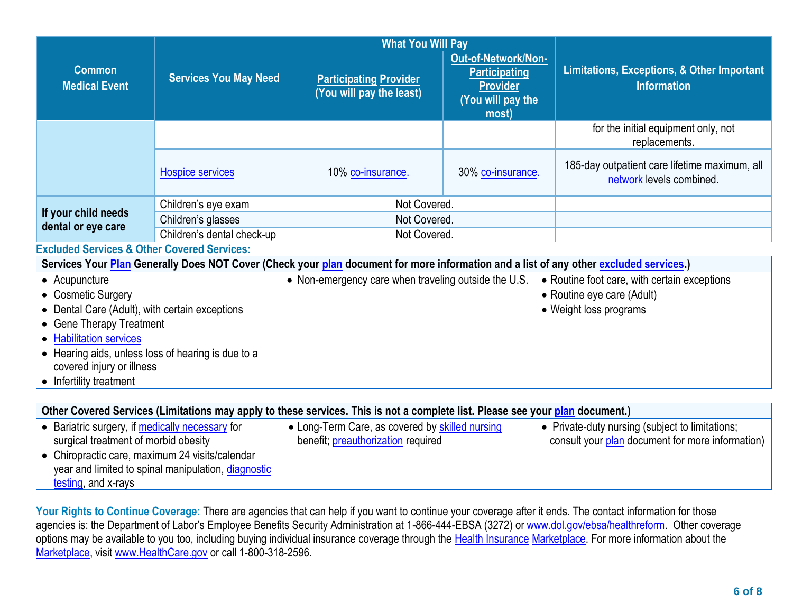|                                                        |                              | <b>What You Will Pay</b>                                                                                                               |                                                                                              |                                                                             |
|--------------------------------------------------------|------------------------------|----------------------------------------------------------------------------------------------------------------------------------------|----------------------------------------------------------------------------------------------|-----------------------------------------------------------------------------|
| <b>Common</b><br><b>Medical Event</b>                  | <b>Services You May Need</b> | <b>Participating Provider</b><br>(You will pay the least)                                                                              | Out-of-Network/Non-<br><b>Participating</b><br><b>Provider</b><br>(You will pay the<br>most) | <b>Limitations, Exceptions, &amp; Other Important</b><br><b>Information</b> |
|                                                        |                              |                                                                                                                                        |                                                                                              | for the initial equipment only, not<br>replacements.                        |
|                                                        | <b>Hospice services</b>      | 10% co-insurance.                                                                                                                      | 30% co-insurance.                                                                            | 185-day outpatient care lifetime maximum, all<br>network levels combined.   |
|                                                        | Children's eye exam          | Not Covered.                                                                                                                           |                                                                                              |                                                                             |
| If your child needs<br>dental or eye care              | Children's glasses           | Not Covered.                                                                                                                           |                                                                                              |                                                                             |
|                                                        | Children's dental check-up   | Not Covered.                                                                                                                           |                                                                                              |                                                                             |
| <b>Excluded Services &amp; Other Covered Services:</b> |                              |                                                                                                                                        |                                                                                              |                                                                             |
|                                                        |                              | Services Your Plan Generally Does NOT Cover (Check your plan document for more information and a list of any other excluded services.) |                                                                                              |                                                                             |
| • Acupuncture                                          |                              | • Non-emergency care when traveling outside the U.S.                                                                                   |                                                                                              | • Routine foot care, with certain exceptions                                |
| • Cosmetic Surgery                                     |                              |                                                                                                                                        |                                                                                              | • Routine eye care (Adult)                                                  |
| • Dental Care (Adult), with certain exceptions         |                              |                                                                                                                                        |                                                                                              | • Weight loss programs                                                      |
| • Gene Therapy Treatment                               |                              |                                                                                                                                        |                                                                                              |                                                                             |
| • Habilitation services                                |                              |                                                                                                                                        |                                                                                              |                                                                             |
| • Hearing aids, unless loss of hearing is due to a     |                              |                                                                                                                                        |                                                                                              |                                                                             |
| covered injury or illness<br>• Infertility treatment   |                              |                                                                                                                                        |                                                                                              |                                                                             |
|                                                        |                              |                                                                                                                                        |                                                                                              |                                                                             |
|                                                        |                              | Other Covered Services (Limitations may apply to these services. This is not a complete list. Please see your plan document.)          |                                                                                              |                                                                             |
| • Bariatric surgery, if medically necessary for        |                              | • Long-Term Care, as covered by skilled nursing                                                                                        |                                                                                              | • Private-duty nursing (subject to limitations;                             |
| surgical treatment of morbid obesity                   |                              | benefit; preauthorization required                                                                                                     |                                                                                              | consult your plan document for more information)                            |
| • Chiropractic care, maximum 24 visits/calendar        |                              |                                                                                                                                        |                                                                                              |                                                                             |
| year and limited to spinal manipulation, diagnostic    |                              |                                                                                                                                        |                                                                                              |                                                                             |

Your Rights to Continue Coverage: There are agencies that can help if you want to continue your coverage after it ends. The contact information for those agencies is: the Department of Labor's Employee Benefits Security Administration at 1-866-444-EBSA (3272) or [www.dol.gov/ebsa/healthreform.](http://www.dol.gov/ebsa/healthreform) Other coverage options may be available to you too, including buying individual insurance coverage through the Health Insurance Marketplace. For more information about the Marketplace, visit [www.HealthCare.gov](http://www.healthcare.gov/) or call 1-800-318-2596.

testing, and x-rays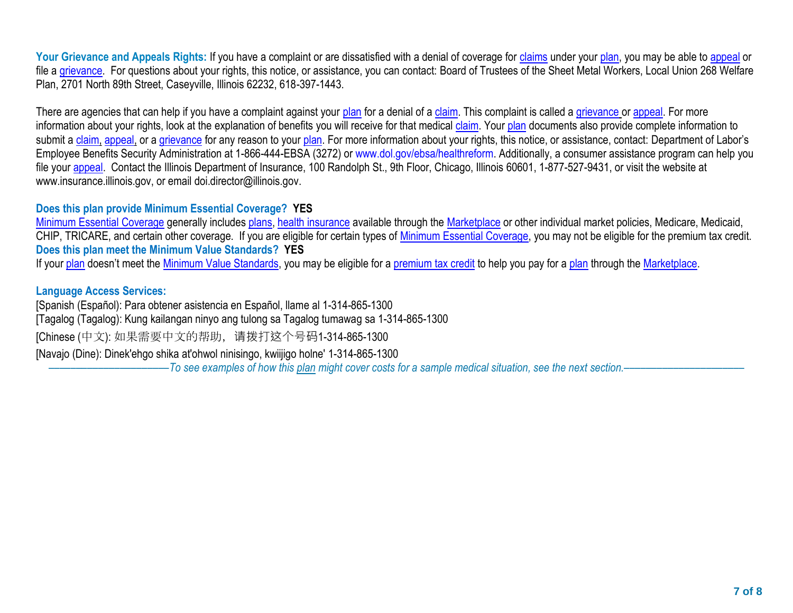Your Grievance and Appeals Rights: If you have a complaint or are dissatisfied with a denial of coverage for claims under your plan, you may be able to [appeal](https://www.healthcare.gov/sbc-glossary/#appeal) or file a [grievance.](https://www.healthcare.gov/sbc-glossary/#grievance) For questions about your rights, this notice, or assistance, you can contact: Board of Trustees of the Sheet Metal Workers, Local Union 268 Welfare Plan, 2701 North 89th Street, Caseyville, Illinois 62232, 618-397-1443.

There are agencies that can help if you have a complaint against your [plan](https://www.healthcare.gov/sbc-glossary/#plan) for a denial of a [claim.](https://www.healthcare.gov/sbc-glossary/#claim) This complaint is called a [grievance](https://www.healthcare.gov/sbc-glossary/#grievance) or [appeal.](https://www.healthcare.gov/sbc-glossary/#appeal) For more information about your rights, look at the explanation of benefits you will receive for that medical [claim.](https://www.healthcare.gov/sbc-glossary/#claim) Your [plan](https://www.healthcare.gov/sbc-glossary/#plan) documents also provide complete information to submit a [claim,](https://www.healthcare.gov/sbc-glossary/#claim) [appeal,](https://www.healthcare.gov/sbc-glossary/#appeal) or a [grievance](https://www.healthcare.gov/sbc-glossary/#grievance) for any reason to your [plan.](https://www.healthcare.gov/sbc-glossary/#plan) For more information about your rights, this notice, or assistance, contact: Department of Labor's Employee Benefits Security Administration at 1-866-444-EBSA (3272) or www.dol.gov/ebsa/healthreform. Additionally, a consumer assistance program can help you file your appeal. Contact the Illinois Department of Insurance, 100 Randolph St., 9th Floor, Chicago, Illinois 60601, 1-877-527-9431, or visit the website at www.insurance.illinois.gov, or email doi.director@illinois.gov.

## **Does this plan provide Minimum Essential Coverage? YES**

[Minimum Essential](https://www.healthcare.gov/sbc-glossary/#minimum-essential-coverage) Coverage generally includes plans, health insurance available through the Marketplace or other individual market policies, Medicare, Medicaid, CHIP, TRICARE, and certain other coverage. If you are eligible for certain types of Minimum Essential Coverage, you may not be eligible for the premium tax credit. **Does this plan meet the Minimum Value Standards? YES**

If your [plan](https://www.healthcare.gov/sbc-glossary/#plan) doesn't meet the [Minimum Value Standards,](https://www.healthcare.gov/sbc-glossary/#minimum-value-standard) you may be eligible for a [premium tax credit](https://www.healthcare.gov/sbc-glossary/#premium-tax-credits) to help you pay for a plan through the [Marketplace.](https://www.healthcare.gov/sbc-glossary/#marketplace)

#### **Language Access Services:**

[Spanish (Español): Para obtener asistencia en Español, llame al 1-314-865-1300 [Tagalog (Tagalog): Kung kailangan ninyo ang tulong sa Tagalog tumawag sa 1-314-865-1300 [Chinese (中文): 如果需要中文的帮助, 请拨打这个号码1-314-865-1300 [Navajo (Dine): Dinek'ehgo shika at'ohwol ninisingo, kwiijigo holne' 1-314-865-1300 ––––––––––––––––––––––*To see examples of how this plan might cover costs for a sample medical situation, see the next section.–––––––––––*–––––––––––